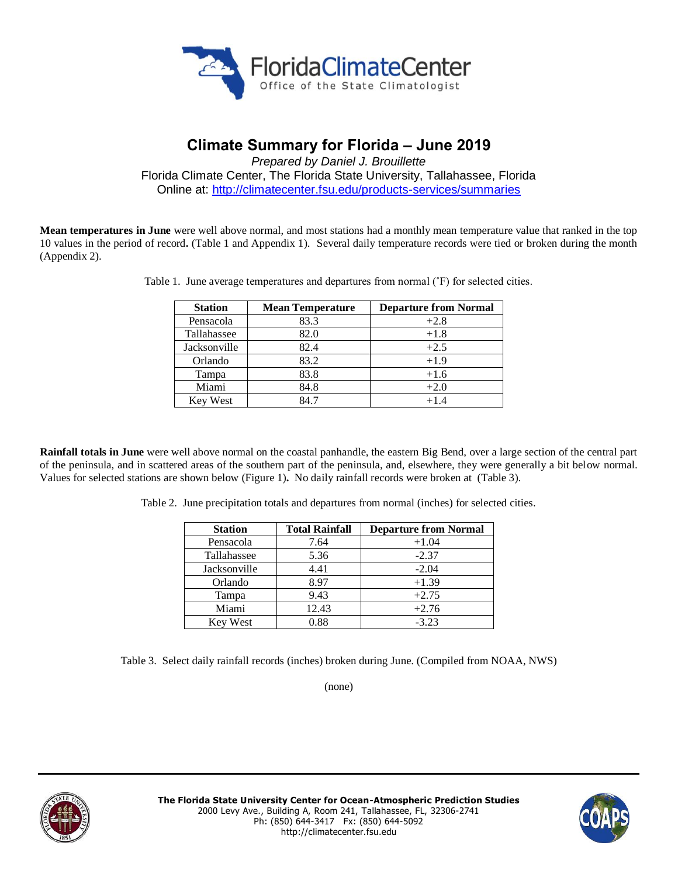

# **Climate Summary for Florida – June 2019**

*Prepared by Daniel J. Brouillette* Florida Climate Center, The Florida State University, Tallahassee, Florida Online at:<http://climatecenter.fsu.edu/products-services/summaries>

**Mean temperatures in June** were well above normal, and most stations had a monthly mean temperature value that ranked in the top 10 values in the period of record**.** (Table 1 and Appendix 1). Several daily temperature records were tied or broken during the month (Appendix 2).

| <b>Station</b>  | <b>Mean Temperature</b> | <b>Departure from Normal</b> |
|-----------------|-------------------------|------------------------------|
| Pensacola       | 83.3                    | $+2.8$                       |
| Tallahassee     | 82.0                    | $+1.8$                       |
| Jacksonville    | 82.4                    | $+2.5$                       |
| Orlando         | 83.2                    | $+1.9$                       |
| Tampa           | 83.8                    | $+1.6$                       |
| Miami           | 84.8                    | $+2.0$                       |
| <b>Key West</b> | 84.7                    | $+1.4$                       |

Table 1. June average temperatures and departures from normal (˚F) for selected cities.

**Rainfall totals in June** were well above normal on the coastal panhandle, the eastern Big Bend, over a large section of the central part of the peninsula, and in scattered areas of the southern part of the peninsula, and, elsewhere, they were generally a bit below normal. Values for selected stations are shown below (Figure 1)**.** No daily rainfall records were broken at (Table 3).

Table 2. June precipitation totals and departures from normal (inches) for selected cities.

| <b>Station</b>  | <b>Total Rainfall</b> | <b>Departure from Normal</b> |  |
|-----------------|-----------------------|------------------------------|--|
| Pensacola       | 7.64                  | $+1.04$                      |  |
| Tallahassee     | 5.36                  | $-2.37$                      |  |
| Jacksonville    | 4.41                  | $-2.04$                      |  |
| Orlando         | 8.97                  | $+1.39$                      |  |
| Tampa           | 9.43                  | $+2.75$                      |  |
| Miami           | 12.43                 | $+2.76$                      |  |
| <b>Key West</b> | 0.88                  | $-3.23$                      |  |

Table 3. Select daily rainfall records (inches) broken during June. (Compiled from NOAA, NWS)

(none)



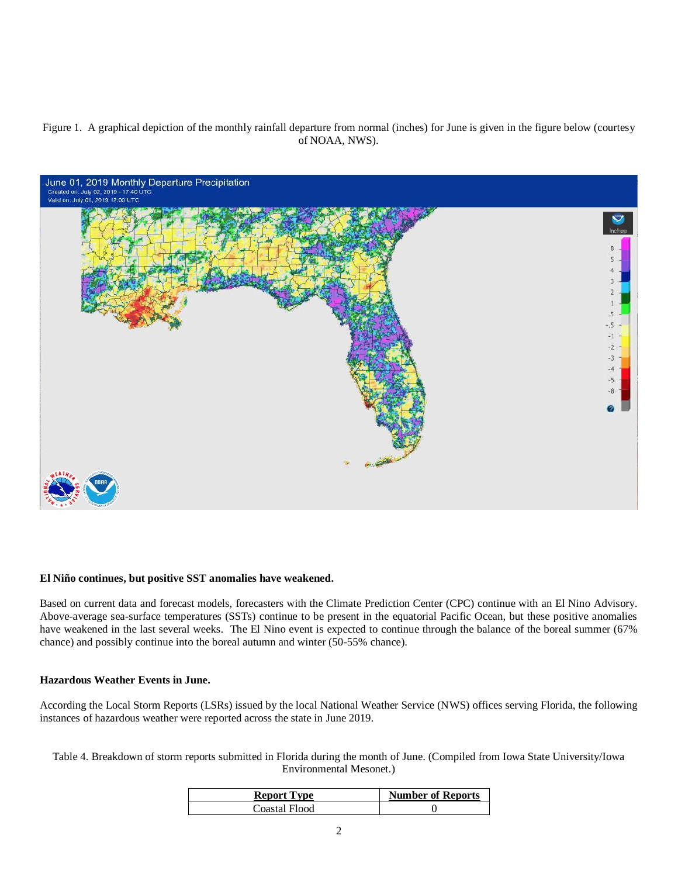# Figure 1. A graphical depiction of the monthly rainfall departure from normal (inches) for June is given in the figure below (courtesy of NOAA, NWS).



#### **El Niño continues, but positive SST anomalies have weakened.**

Based on current data and forecast models, forecasters with the Climate Prediction Center (CPC) continue with an El Nino Advisory. Above-average sea-surface temperatures (SSTs) continue to be present in the equatorial Pacific Ocean, but these positive anomalies have weakened in the last several weeks. The El Nino event is expected to continue through the balance of the boreal summer (67% chance) and possibly continue into the boreal autumn and winter (50-55% chance).

#### **Hazardous Weather Events in June.**

According the Local Storm Reports (LSRs) issued by the local National Weather Service (NWS) offices serving Florida, the following instances of hazardous weather were reported across the state in June 2019.

Table 4. Breakdown of storm reports submitted in Florida during the month of June. (Compiled from Iowa State University/Iowa Environmental Mesonet.)

| <b>Report Type</b> | <b>Number of Reports</b> |
|--------------------|--------------------------|
| Coastal Flood-     |                          |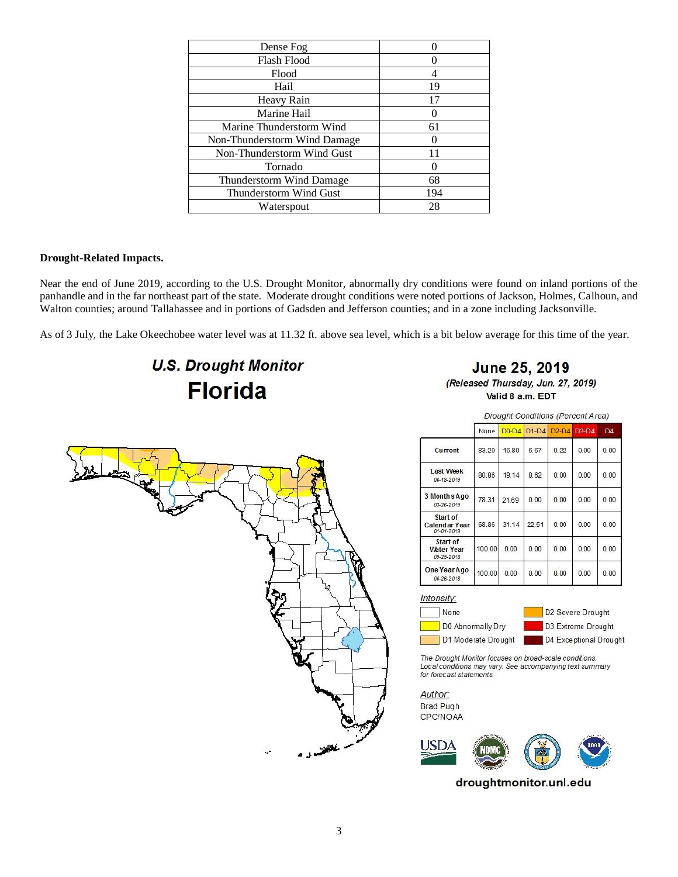| Dense Fog                    |     |
|------------------------------|-----|
| Flash Flood                  |     |
| Flood                        |     |
| Hail                         | 19  |
| Heavy Rain                   | 17  |
| Marine Hail                  |     |
| Marine Thunderstorm Wind     | 61  |
| Non-Thunderstorm Wind Damage |     |
| Non-Thunderstorm Wind Gust   |     |
| Tornado                      |     |
| Thunderstorm Wind Damage     | 68  |
| Thunderstorm Wind Gust       | 194 |
| Waterspout                   | 28  |

# **Drought-Related Impacts.**

Near the end of June 2019, according to the U.S. Drought Monitor, abnormally dry conditions were found on inland portions of the panhandle and in the far northeast part of the state. Moderate drought conditions were noted portions of Jackson, Holmes, Calhoun, and Walton counties; around Tallahassee and in portions of Gadsden and Jefferson counties; and in a zone including Jacksonville.

As of 3 July, the Lake Okeechobee water level was at 11.32 ft. above sea level, which is a bit below average for this time of the year.

# **U.S. Drought Monitor Florida**



Valid 8 a.m. EDT



Drought Conditions (Percent Area)

|                                         | None   | $D0-D4$ | $D1-D4$ | $D2-D4$ | $D3-D4$ | D <sub>4</sub> |
|-----------------------------------------|--------|---------|---------|---------|---------|----------------|
| Current                                 | 83.20  | 16.80   | 6.67    | 0.22    | 0.00    | 0.00           |
| <b>Last Week</b><br>06-18-2019          | 80.86  | 19.14   | 8.62    | 0.00    | 0.00    | 0.00           |
| 3 Months Ago<br>03-26-2019              | 78.31  | 21.69   | 0.00    | 0.00    | 0.00    | 0.00           |
| Start of<br>Calendar Year<br>01-01-2019 | 68.86  | 31.14   | 22.51   | 0.00    | 0.00    | 0.00           |
| Start of<br>Water Year<br>09-25-2018    | 100.00 | 0.00    | 0.00    | 0.00    | 0.00    | 0.00           |
| One Year Ago<br>06-26-2018              | 100.00 | 0.00    | 0.00    | 0.00    | 0.00    | 0.00           |

Intensity:





The Drought Monitor focuses on broad-scale conditions. Local conditions may vary. See accompanying text summary for forecast statements.

Author: Brad Pugh CPC/NOAA